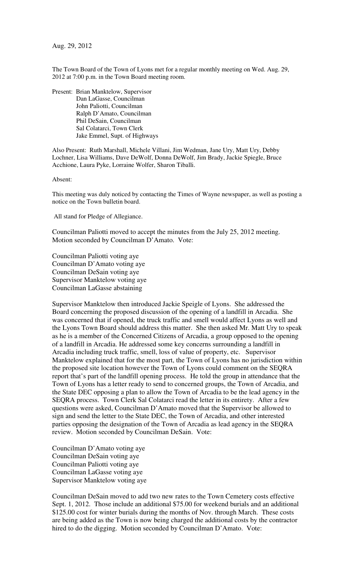Aug. 29, 2012

The Town Board of the Town of Lyons met for a regular monthly meeting on Wed. Aug. 29, 2012 at 7:00 p.m. in the Town Board meeting room.

Present: Brian Manktelow, Supervisor Dan LaGasse, Councilman John Paliotti, Councilman Ralph D'Amato, Councilman Phil DeSain, Councilman Sal Colatarci, Town Clerk Jake Emmel, Supt. of Highways

Also Present: Ruth Marshall, Michele Villani, Jim Wedman, Jane Ury, Matt Ury, Debby Lochner, Lisa Williams, Dave DeWolf, Donna DeWolf, Jim Brady, Jackie Spiegle, Bruce Acchione, Laura Pyke, Lorraine Wolfer, Sharon Tiballi.

Absent:

This meeting was duly noticed by contacting the Times of Wayne newspaper, as well as posting a notice on the Town bulletin board.

All stand for Pledge of Allegiance.

Councilman Paliotti moved to accept the minutes from the July 25, 2012 meeting. Motion seconded by Councilman D'Amato. Vote:

Councilman Paliotti voting aye Councilman D'Amato voting aye Councilman DeSain voting aye Supervisor Manktelow voting aye Councilman LaGasse abstaining

Supervisor Manktelow then introduced Jackie Speigle of Lyons. She addressed the Board concerning the proposed discussion of the opening of a landfill in Arcadia. She was concerned that if opened, the truck traffic and smell would affect Lyons as well and the Lyons Town Board should address this matter. She then asked Mr. Matt Ury to speak as he is a member of the Concerned Citizens of Arcadia, a group opposed to the opening of a landfill in Arcadia. He addressed some key concerns surrounding a landfill in Arcadia including truck traffic, smell, loss of value of property, etc. Supervisor Manktelow explained that for the most part, the Town of Lyons has no jurisdiction within the proposed site location however the Town of Lyons could comment on the SEQRA report that's part of the landfill opening process. He told the group in attendance that the Town of Lyons has a letter ready to send to concerned groups, the Town of Arcadia, and the State DEC opposing a plan to allow the Town of Arcadia to be the lead agency in the SEQRA process. Town Clerk Sal Colatarci read the letter in its entirety. After a few questions were asked, Councilman D'Amato moved that the Supervisor be allowed to sign and send the letter to the State DEC, the Town of Arcadia, and other interested parties opposing the designation of the Town of Arcadia as lead agency in the SEQRA review. Motion seconded by Councilman DeSain. Vote:

Councilman D'Amato voting aye Councilman DeSain voting aye Councilman Paliotti voting aye Councilman LaGasse voting aye Supervisor Manktelow voting aye

Councilman DeSain moved to add two new rates to the Town Cemetery costs effective Sept. 1, 2012. Those include an additional \$75.00 for weekend burials and an additional \$125.00 cost for winter burials during the months of Nov. through March. These costs are being added as the Town is now being charged the additional costs by the contractor hired to do the digging. Motion seconded by Councilman D'Amato. Vote: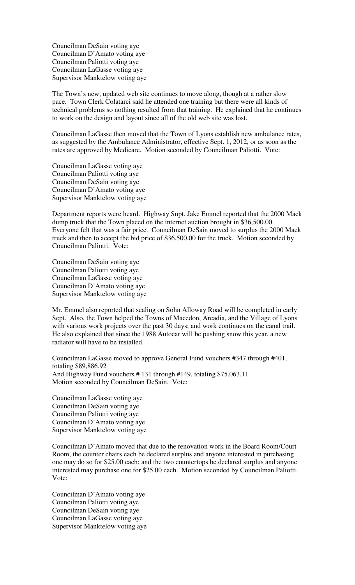Councilman DeSain voting aye Councilman D'Amato voting aye Councilman Paliotti voting aye Councilman LaGasse voting aye Supervisor Manktelow voting aye

The Town's new, updated web site continues to move along, though at a rather slow pace. Town Clerk Colatarci said he attended one training but there were all kinds of technical problems so nothing resulted from that training. He explained that he continues to work on the design and layout since all of the old web site was lost.

Councilman LaGasse then moved that the Town of Lyons establish new ambulance rates, as suggested by the Ambulance Administrator, effective Sept. 1, 2012, or as soon as the rates are approved by Medicare. Motion seconded by Councilman Paliotti. Vote:

Councilman LaGasse voting aye Councilman Paliotti voting aye Councilman DeSain voting aye Councilman D'Amato voting aye Supervisor Manktelow voting aye

Department reports were heard. Highway Supt. Jake Emmel reported that the 2000 Mack dump truck that the Town placed on the internet auction brought in \$36,500.00. Everyone felt that was a fair price. Councilman DeSain moved to surplus the 2000 Mack truck and then to accept the bid price of \$36,500.00 for the truck. Motion seconded by Councilman Paliotti. Vote:

Councilman DeSain voting aye Councilman Paliotti voting aye Councilman LaGasse voting aye Councilman D'Amato voting aye Supervisor Manktelow voting aye

Mr. Emmel also reported that sealing on Sohn Alloway Road will be completed in early Sept. Also, the Town helped the Towns of Macedon, Arcadia, and the Village of Lyons with various work projects over the past 30 days; and work continues on the canal trail. He also explained that since the 1988 Autocar will be pushing snow this year, a new radiator will have to be installed.

Councilman LaGasse moved to approve General Fund vouchers #347 through #401, totaling \$89,886.92 And Highway Fund vouchers # 131 through #149, totaling \$75,063.11 Motion seconded by Councilman DeSain. Vote:

Councilman LaGasse voting aye Councilman DeSain voting aye Councilman Paliotti voting aye Councilman D'Amato voting aye Supervisor Manktelow voting aye

Councilman D'Amato moved that due to the renovation work in the Board Room/Court Room, the counter chairs each be declared surplus and anyone interested in purchasing one may do so for \$25.00 each; and the two countertops be declared surplus and anyone interested may purchase one for \$25.00 each. Motion seconded by Councilman Paliotti. Vote:

Councilman D'Amato voting aye Councilman Paliotti voting aye Councilman DeSain voting aye Councilman LaGasse voting aye Supervisor Manktelow voting aye